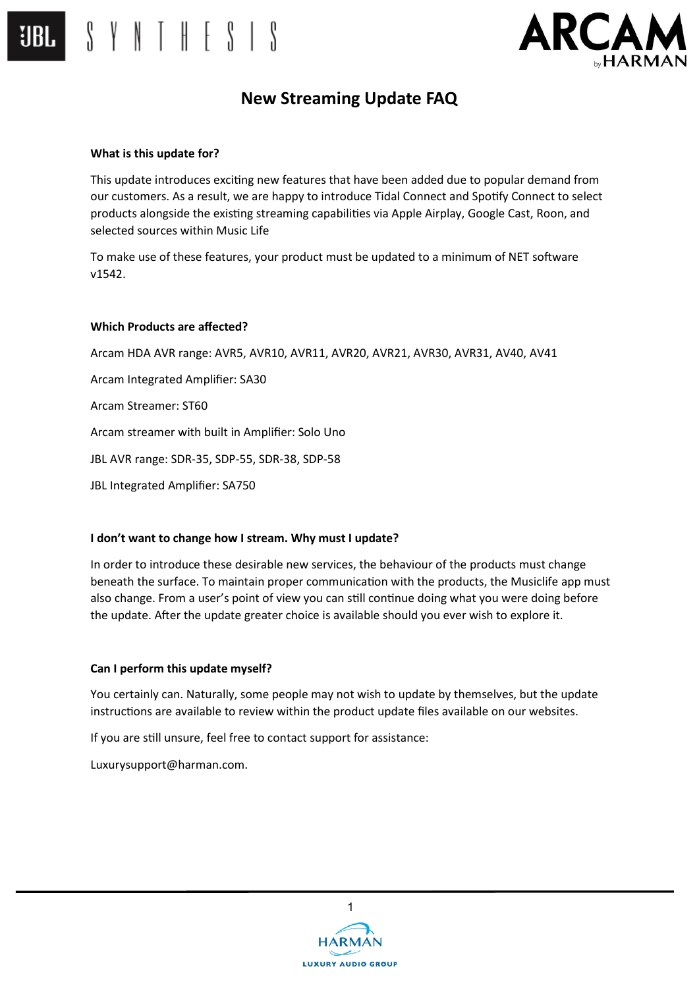

### **What is this update for?**

 $S \vee N \vee H \vee S \vee S$ 

This update introduces exciting new features that have been added due to popular demand from our customers. As a result, we are happy to introduce Tidal Connect and Spotify Connect to select products alongside the existing streaming capabilities via Apple Airplay, Google Cast, Roon, and selected sources within Music Life

To make use of these features, your product must be updated to a minimum of NET software v1542.

#### **Which Products are affected?**

Arcam HDA AVR range: AVR5, AVR10, AVR11, AVR20, AVR21, AVR30, AVR31, AV40, AV41

Arcam Integrated Amplifier: SA30

Arcam Streamer: ST60

Arcam streamer with built in Amplifier: Solo Uno

JBL AVR range: SDR-35, SDP-55, SDR-38, SDP-58

JBL Integrated Amplifier: SA750

### **I don't want to change how I stream. Why must I update?**

In order to introduce these desirable new services, the behaviour of the products must change beneath the surface. To maintain proper communication with the products, the Musiclife app must also change. From a user's point of view you can still continue doing what you were doing before the update. After the update greater choice is available should you ever wish to explore it.

### **Can I perform this update myself?**

You certainly can. Naturally, some people may not wish to update by themselves, but the update instructions are available to review within the product update files available on our websites.

If you are still unsure, feel free to contact support for assistance:

Luxurysupport@harman.com.

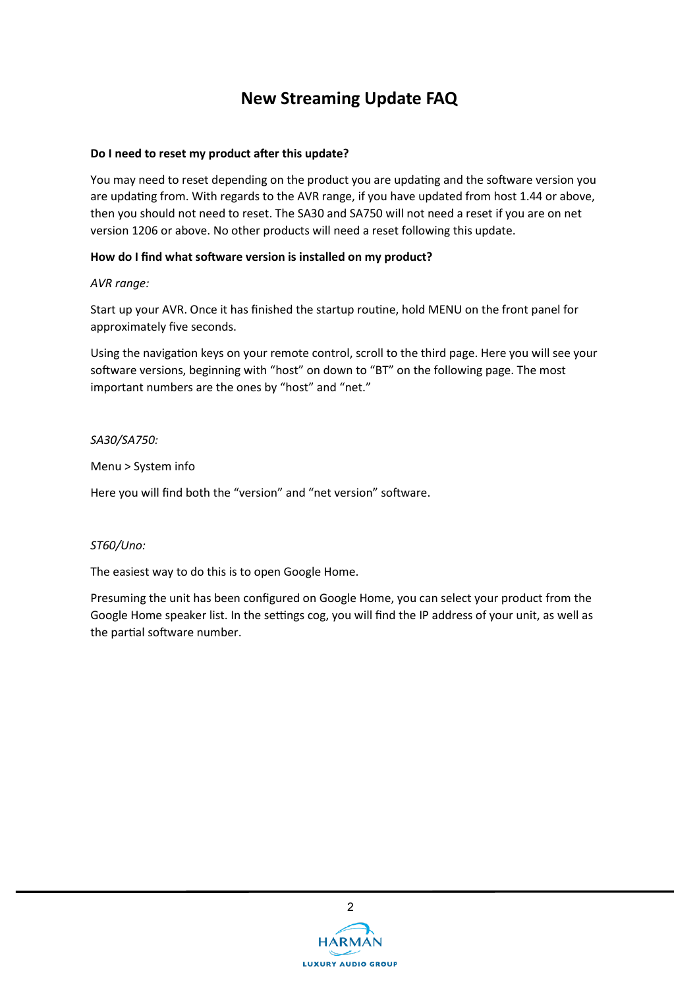## **Do I need to reset my product after this update?**

You may need to reset depending on the product you are updating and the software version you are updating from. With regards to the AVR range, if you have updated from host 1.44 or above, then you should not need to reset. The SA30 and SA750 will not need a reset if you are on net version 1206 or above. No other products will need a reset following this update.

### **How do I find what software version is installed on my product?**

*AVR range:*

Start up your AVR. Once it has finished the startup routine, hold MENU on the front panel for approximately five seconds.

Using the navigation keys on your remote control, scroll to the third page. Here you will see your software versions, beginning with "host" on down to "BT" on the following page. The most important numbers are the ones by "host" and "net."

*SA30/SA750:*

Menu > System info

Here you will find both the "version" and "net version" software.

### *ST60/Uno:*

The easiest way to do this is to open Google Home.

Presuming the unit has been configured on Google Home, you can select your product from the Google Home speaker list. In the settings cog, you will find the IP address of your unit, as well as the partial software number.

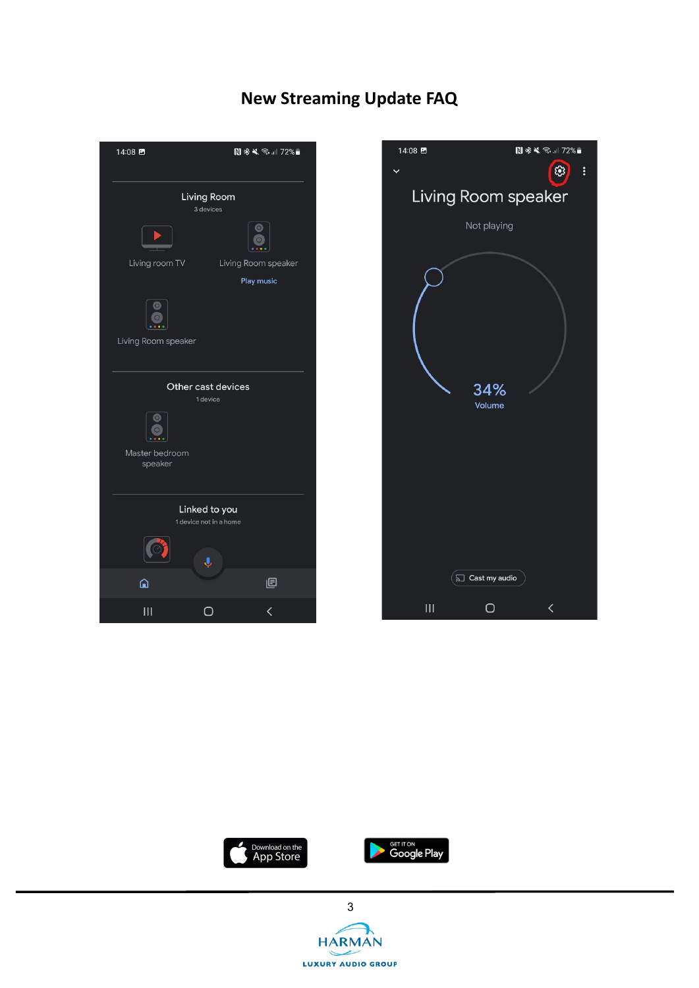







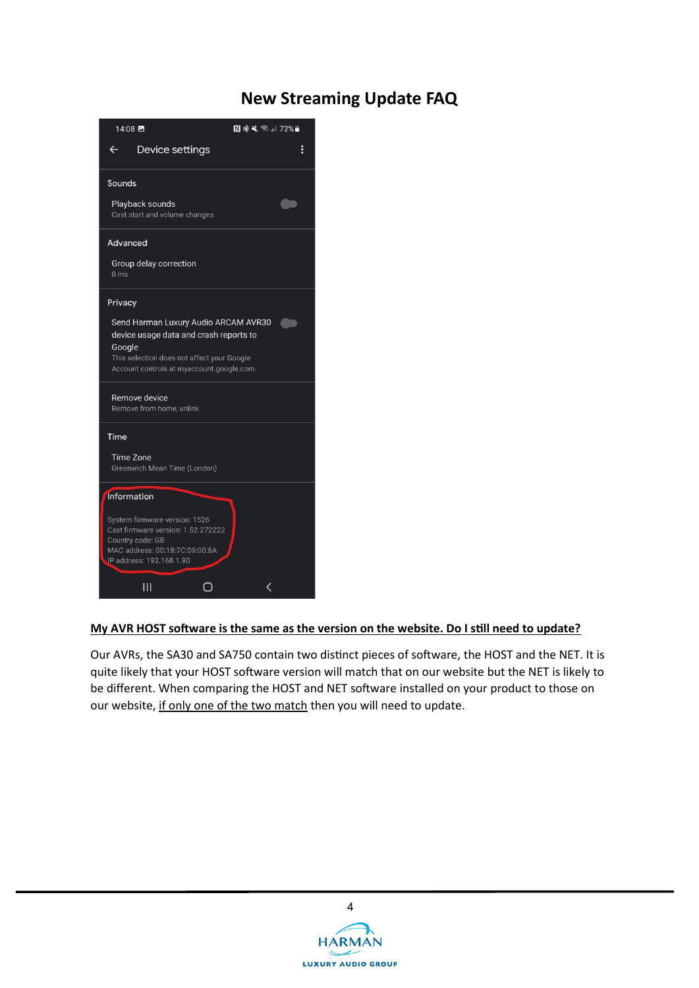

## **My AVR HOST software is the same as the version on the website. Do I still need to update?**

Our AVRs, the SA30 and SA750 contain two distinct pieces of software, the HOST and the NET. It is quite likely that your HOST software version will match that on our website but the NET is likely to be different. When comparing the HOST and NET software installed on your product to those on our website, if only one of the two match then you will need to update.